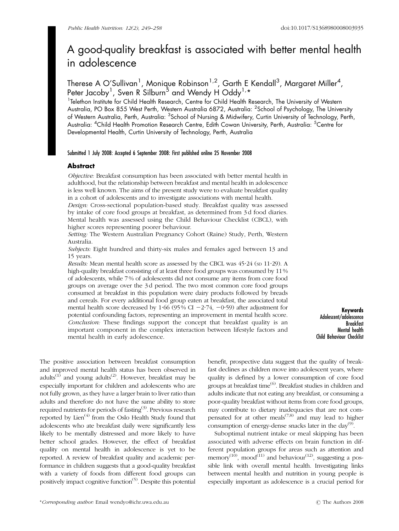# A good-quality breakfast is associated with better mental health in adolescence

Therese A O'Sullivan<sup>1</sup>, Monique Robinson<sup>1,2</sup>, Garth E Kendall<sup>3</sup>, Margaret Miller<sup>4</sup>, Peter Jacoby<sup>1</sup>, Sven R Silburn<sup>5</sup> and Wendy H Oddy<sup>1,</sup>\*

<sup>1</sup>Telethon Institute for Child Health Research, Centre for Child Health Research, The University of Western Australia, PO Box 855 West Perth, Western Australia 6872, Australia: <sup>2</sup>School of Psychology, The University of Western Australia, Perth, Australia: <sup>3</sup>School of Nursing & Midwifery, Curtin University of Technology, Perth, Australia: <sup>4</sup>Child Health Promotion Research Centre, Edith Cowan University, Perth, Australia: <sup>5</sup>Centre for Developmental Health, Curtin University of Technology, Perth, Australia

Submitted 1 July 2008: Accepted 6 September 2008: First published online 25 November 2008

# Abstract

Objective: Breakfast consumption has been associated with better mental health in adulthood, but the relationship between breakfast and mental health in adolescence is less well known. The aims of the present study were to evaluate breakfast quality in a cohort of adolescents and to investigate associations with mental health.

Design: Cross-sectional population-based study. Breakfast quality was assessed by intake of core food groups at breakfast, as determined from 3 d food diaries. Mental health was assessed using the Child Behaviour Checklist (CBCL), with higher scores representing poorer behaviour.

Setting: The Western Australian Pregnancy Cohort (Raine) Study, Perth, Western Australia.

Subjects: Eight hundred and thirty-six males and females aged between 13 and 15 years.

Results: Mean mental health score as assessed by the CBCL was  $45.24$  (sp 11.29). A high-quality breakfast consisting of at least three food groups was consumed by 11 % of adolescents, while 7 % of adolescents did not consume any items from core food groups on average over the 3 d period. The two most common core food groups consumed at breakfast in this population were dairy products followed by breads and cereals. For every additional food group eaten at breakfast, the associated total mental health score decreased by 1.66 (95% CI  $-2.74$ ,  $-0.59$ ) after adjustment for potential confounding factors, representing an improvement in mental health score. Conclusion: These findings support the concept that breakfast quality is an important component in the complex interaction between lifestyle factors and mental health in early adolescence.

Keywords Adolescent/adolescence Breakfast Mental health Child Behaviour Checklist

The positive association between breakfast consumption and improved mental health status has been observed in adults<sup>(1)</sup> and young adults<sup>(2)</sup>. However, breakfast may be especially important for children and adolescents who are not fully grown, as they have a larger brain to liver ratio than adults and therefore do not have the same ability to store required nutrients for periods of fasting<sup>(3)</sup>. Previous research reported by Lien<sup> $(4)$ </sup> from the Oslo Health Study found that adolescents who ate breakfast daily were significantly less likely to be mentally distressed and more likely to have better school grades. However, the effect of breakfast quality on mental health in adolescence is yet to be reported. A review of breakfast quality and academic performance in children suggests that a good-quality breakfast with a variety of foods from different food groups can positively impact cognitive function(5). Despite this potential

benefit, prospective data suggest that the quality of breakfast declines as children move into adolescent years, where quality is defined by a lower consumption of core food groups at breakfast time(6). Breakfast studies in children and adults indicate that not eating any breakfast, or consuming a poor-quality breakfast without items from core food groups, may contribute to dietary inadequacies that are not compensated for at other meals<sup> $(7,8)$ </sup> and may lead to higher consumption of energy-dense snacks later in the day<sup>(9)</sup>.

Suboptimal nutrient intake or meal skipping has been associated with adverse effects on brain function in different population groups for areas such as attention and memory<sup>(10)</sup>, mood<sup>(11)</sup> and behaviour<sup>(12)</sup>, suggesting a possible link with overall mental health. Investigating links between mental health and nutrition in young people is especially important as adolescence is a crucial period for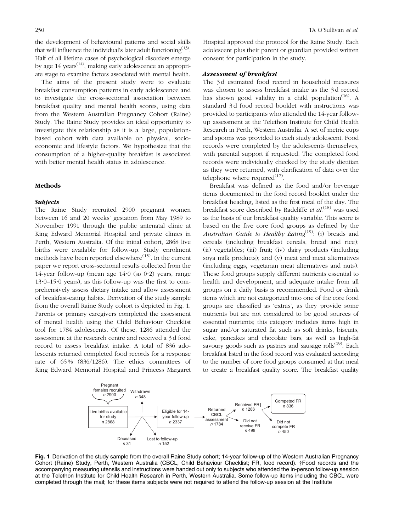the development of behavioural patterns and social skills that will influence the individual's later adult functioning<sup> $(13)$ </sup>. Half of all lifetime cases of psychological disorders emerge by age  $14$  years<sup> $(14)$ </sup>, making early adolescence an appropriate stage to examine factors associated with mental health.

The aims of the present study were to evaluate breakfast consumption patterns in early adolescence and to investigate the cross-sectional association between breakfast quality and mental health scores, using data from the Western Australian Pregnancy Cohort (Raine) Study. The Raine Study provides an ideal opportunity to investigate this relationship as it is a large, populationbased cohort with data available on physical, socioeconomic and lifestyle factors. We hypothesize that the consumption of a higher-quality breakfast is associated with better mental health status in adolescence.

## Methods

#### Subjects

The Raine Study recruited 2900 pregnant women between 16 and 20 weeks' gestation from May 1989 to November 1991 through the public antenatal clinic at King Edward Memorial Hospital and private clinics in Perth, Western Australia. Of the initial cohort, 2868 live births were available for follow-up. Study enrolment methods have been reported elsewhere<sup>(15)</sup>. In the current paper we report cross-sectional results collected from the 14-year follow-up (mean age  $14.0$  (sp  $0.2$ ) years, range  $13.0-15.0$  years), as this follow-up was the first to comprehensively assess dietary intake and allow assessment of breakfast-eating habits. Derivation of the study sample from the overall Raine Study cohort is depicted in Fig. 1. Parents or primary caregivers completed the assessment of mental health using the Child Behaviour Checklist tool for 1784 adolescents. Of these, 1286 attended the assessment at the research centre and received a 3 d food record to assess breakfast intake. A total of 836 adolescents returned completed food records for a response rate of 65 % (836/1286). The ethics committees of King Edward Memorial Hospital and Princess Margaret

Hospital approved the protocol for the Raine Study. Each adolescent plus their parent or guardian provided written consent for participation in the study.

## Assessment of breakfast

The 3 d estimated food record in household measures was chosen to assess breakfast intake as the 3 d record has shown good validity in a child population<sup> $(16)$ </sup>. A standard 3 d food record booklet with instructions was provided to participants who attended the 14-year followup assessment at the Telethon Institute for Child Health Research in Perth, Western Australia. A set of metric cups and spoons was provided to each study adolescent. Food records were completed by the adolescents themselves, with parental support if requested. The completed food records were individually checked by the study dietitian as they were returned, with clarification of data over the telephone where required $(17)$ .

Breakfast was defined as the food and/or beverage items documented in the food record booklet under the breakfast heading, listed as the first meal of the day. The breakfast score described by Radcliffe et al.<sup>(18)</sup> was used as the basis of our breakfast quality variable. This score is based on the five core food groups as defined by the Australian Guide to Healthy Eating<sup>(19)</sup>: (i) breads and cereals (including breakfast cereals, bread and rice); (ii) vegetables; (iii) fruit; (iv) dairy products (including soya milk products); and (v) meat and meat alternatives (including eggs, vegetarian meat alternatives and nuts). These food groups supply different nutrients essential to health and development, and adequate intake from all groups on a daily basis is recommended. Food or drink items which are not categorized into one of the core food groups are classified as 'extras', as they provide some nutrients but are not considered to be good sources of essential nutrients; this category includes items high in sugar and/or saturated fat such as soft drinks, biscuits, cake, pancakes and chocolate bars, as well as high-fat savoury goods such as pastries and sausage rolls<sup> $(19)$ </sup>. Each breakfast listed in the food record was evaluated according to the number of core food groups consumed at that meal to create a breakfast quality score. The breakfast quality



Fig. 1 Derivation of the study sample from the overall Raine Study cohort; 14-year follow-up of the Western Australian Pregnancy Cohort (Raine) Study, Perth, Western Australia (CBCL, Child Behaviour Checklist; FR, food record). *y*Food records and the accompanying measuring utensils and instructions were handed out only to subjects who attended the in-person follow-up session at the Telethon Institute for Child Health Research in Perth, Western Australia. Some follow-up items including the CBCL were completed through the mail; for these items subjects were not required to attend the follow-up session at the Institute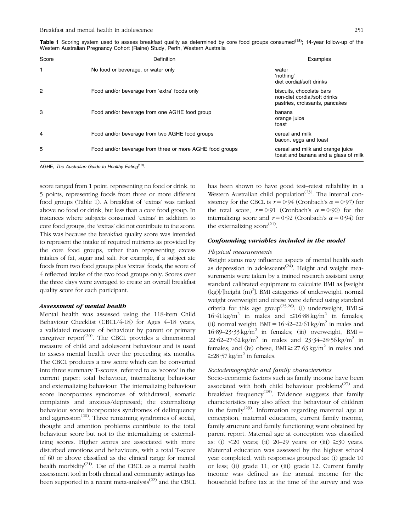Table 1 Scoring system used to assess breakfast quality as determined by core food groups consumed<sup>(18)</sup>; 14-year follow-up of the Western Australian Pregnancy Cohort (Raine) Study, Perth, Western Australia

| Score          | Definition                                               | Examples                                                                                   |
|----------------|----------------------------------------------------------|--------------------------------------------------------------------------------------------|
| 1              | No food or beverage, or water only                       | water<br>'nothing'<br>diet cordial/soft drinks                                             |
| $\overline{2}$ | Food and/or beverage from 'extra' foods only             | biscuits, chocolate bars<br>non-diet cordial/soft drinks<br>pastries, croissants, pancakes |
| 3              | Food and/or beverage from one AGHE food group            | banana<br>orange juice<br>toast                                                            |
| 4              | Food and/or beverage from two AGHE food groups           | cereal and milk<br>bacon, eggs and toast                                                   |
| 5              | Food and/or beverage from three or more AGHE food groups | cereal and milk and orange juice<br>toast and banana and a glass of milk                   |

AGHE, The Australian Guide to Healthy Eating<sup>(19)</sup>.

score ranged from 1 point, representing no food or drink, to 5 points, representing foods from three or more different food groups (Table 1). A breakfast of 'extras' was ranked above no food or drink, but less than a core food group. In instances where subjects consumed 'extras' in addition to core food groups, the 'extras' did not contribute to the score. This was because the breakfast quality score was intended to represent the intake of required nutrients as provided by the core food groups, rather than representing excess intakes of fat, sugar and salt. For example, if a subject ate foods from two food groups plus 'extras' foods, the score of 4 reflected intake of the two food groups only. Scores over the three days were averaged to create an overall breakfast quality score for each participant.

#### Assessment of mental health

Mental health was assessed using the 118-item Child Behaviour Checklist (CBCL/4-18) for Ages 4–18 years, a validated measure of behaviour by parent or primary caregiver report<sup> $(20)$ </sup>. The CBCL provides a dimensional measure of child and adolescent behaviour and is used to assess mental health over the preceding six months. The CBCL produces a raw score which can be converted into three summary T-scores, referred to as 'scores' in the current paper: total behaviour, internalizing behaviour and externalizing behaviour. The internalizing behaviour score incorporates syndromes of withdrawal, somatic complaints and anxious/depressed; the externalizing behaviour score incorporates syndromes of delinquency and aggression<sup> $(20)$ </sup>. Three remaining syndromes of social, thought and attention problems contribute to the total behaviour score but not to the internalizing or externalizing scores. Higher scores are associated with more disturbed emotions and behaviours, with a total T-score of 60 or above classified as the clinical range for mental health morbidity<sup>(21)</sup>. Use of the CBCL as a mental health assessment tool in both clinical and community settings has been supported in a recent meta-analysis $^{(22)}$  and the CBCL

has been shown to have good test–retest reliability in a Western Australian child population<sup> $(23)$ </sup>. The internal consistency for the CBCL is  $r = 0.94$  (Cronbach's  $\alpha = 0.97$ ) for the total score,  $r = 0.91$  (Cronbach's  $\alpha = 0.90$ ) for the internalizing score and  $r = 0.92$  (Cronbach's  $\alpha = 0.94$ ) for the externalizing  $score^{(21)}$ .

## Confounding variables included in the model

#### Physical measurements

Weight status may influence aspects of mental health such as depression in adolescents<sup> $(24)$ </sup>. Height and weight measurements were taken by a trained research assistant using standard calibrated equipment to calculate BMI as [weight (kg)]/[height (m)<sup>2</sup>]. BMI categories of underweight, normal weight overweight and obese were defined using standard criteria for this age group<sup>(25,26)</sup>: (i) underweight, BMI  $\leq$  $16.41 \text{ kg/m}^2$  in males and  $\leq 16.88 \text{ kg/m}^2$  in females; (ii) normal weight,  $BMI = 16.42-22.61 \text{ kg/m}^2$  in males and  $16.89-23.33 \text{ kg/m}^2$  in females; (iii) overweight, BMI =  $22.62 - 27.62 \text{ kg/m}^2$  in males and  $23.34 - 28.56 \text{ kg/m}^2$  in females; and (iv) obese, BMI  $\geq$  27.63 kg/m<sup>2</sup> in males and  $\geq$ 28.57 kg/m<sup>2</sup> in females.

## Sociodemographic and family characteristics

Socio-economic factors such as family income have been associated with both child behaviour problems<sup>(27)</sup> and breakfast frequency<sup>(28)</sup>. Evidence suggests that family characteristics may also affect the behaviour of children in the family<sup>(29)</sup>. Information regarding maternal age at conception, maternal education, current family income, family structure and family functioning were obtained by parent report. Maternal age at conception was classified as: (i)  $\leq$  20 years; (ii) 20–29 years; or (iii)  $\geq$  30 years. Maternal education was assessed by the highest school year completed, with responses grouped as: (i) grade 10 or less; (ii) grade 11; or (iii) grade 12. Current family income was defined as the annual income for the household before tax at the time of the survey and was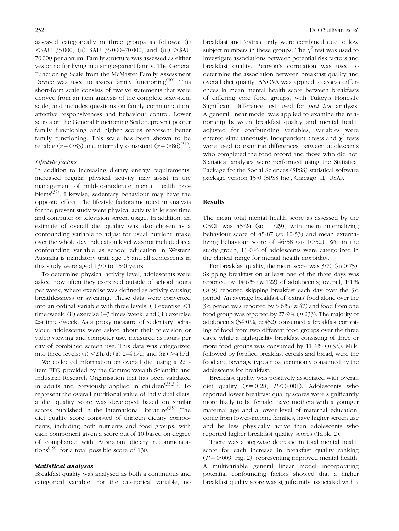assessed categorically in three groups as follows: (i)  $\leq$ \$AU 35 000; (ii) \$AU 35 000–70 000; and (iii)  $>$ \$AU 70 000 per annum. Family structure was assessed as either yes or no for living in a single-parent family. The General Functioning Scale from the McMaster Family Assessment Device was used to assess family functioning<sup>(30)</sup>. This short-form scale consists of twelve statements that were derived from an item analysis of the complete sixty-item scale, and includes questions on family communication, affective responsiveness and behaviour control. Lower scores on the General Functioning Scale represent poorer family functioning and higher scores represent better family functioning. This scale has been shown to be reliable ( $r = 0.83$ ) and internally consistent ( $r = 0.86$ )<sup>(31)</sup>.

## Lifestyle factors

In addition to increasing dietary energy requirements, increased regular physical activity may assist in the management of mild-to-moderate mental health problems<sup>(32)</sup>. Likewise, sedentary behaviour may have the opposite effect. The lifestyle factors included in analysis for the present study were physical activity in leisure time and computer or television screen usage. In addition, an estimate of overall diet quality was also chosen as a confounding variable to adjust for usual nutrient intake over the whole day. Education level was not included as a confounding variable as school education in Western Australia is mandatory until age 15 and all adolescents in this study were aged  $13.0$  to  $15.0$  years.

To determine physical activity level, adolescents were asked how often they exercised outside of school hours per week, where exercise was defined as activity causing breathlessness or sweating. These data were converted into an ordinal variable with three levels: (i) exercise  $\leq 1$ time/week; (ii) exercise 1–3 times/week; and (iii) exercise  $\geq$ 4 times/week. As a proxy measure of sedentary behaviour, adolescents were asked about their television or video viewing and computer use, measured as hours per day of combined screen use. This data was categorized into three levels: (i)  $\langle 2h/d;$  (ii) 2–4 h/d; and (iii)  $>4$  h/d.

We collected information on overall diet using a 221 item FFQ provided by the Commonwealth Scientific and Industrial Research Organisation that has been validated in adults and previously applied in children<sup> $(33,34)$ </sup>. To represent the overall nutritional value of individual diets, a diet quality score was developed based on similar scores published in the international literature<sup>(35)</sup>. The diet quality score consisted of thirteen dietary components, including both nutrients and food groups, with each component given a score out of 10 based on degree of compliance with Australian dietary recommendations<sup> $(19)$ </sup>, for a total possible score of 130.

## Statistical analyses

Breakfast quality was analysed as both a continuous and categorical variable. For the categorical variable, no breakfast and 'extras' only were combined due to low subject numbers in these groups. The  $\chi^2$  test was used to investigate associations between potential risk factors and breakfast quality. Pearson's correlation was used to determine the association between breakfast quality and overall diet quality. ANOVA was applied to assess differences in mean mental health score between breakfasts of differing core food groups, with Tukey's Honestly Significant Difference test used for post hoc analysis. A general linear model was applied to examine the relationship between breakfast quality and mental health adjusted for confounding variables; variables were entered simultaneously. Independent t tests and  $\chi^2$  tests were used to examine differences between adolescents who completed the food record and those who did not. Statistical analyses were performed using the Statistical Package for the Social Sciences (SPSS) statistical software package version 15<sup>.</sup>0 (SPSS Inc., Chicago, IL, USA).

#### Results

The mean total mental health score as assessed by the CBCL was  $45.24$  (sp  $11.29$ ), with mean internalizing behaviour score of  $45.87$  (sp  $10.53$ ) and mean externalizing behaviour score of  $46.58$  (sp  $10.52$ ). Within the study group,  $11.0\%$  of adolescents were categorized in the clinical range for mental health morbidity.

For breakfast quality, the mean score was  $3\cdot 70$  (sp  $0\cdot 75$ ). Skipping breakfast on at least one of the three days was reported by  $14.6\%$  (*n* 122) of adolescents; overall,  $1.1\%$ (n 9) reported skipping breakfast each day over the 3 d period. An average breakfast of 'extras' food alone over the 3d period was reported by  $5.6\%$  ( $n\ 47$ ) and food from one food group was reported by  $27.9\%$  ( $n$  233). The majority of adolescents (54 $\cdot$ 0%, *n* 452) consumed a breakfast consisting of food from two different food groups over the three days, while a high-quality breakfast consisting of three or more food groups was consumed by  $11.4\%$  (*n* 95). Milk, followed by fortified breakfast cereals and bread, were the food and beverage types most commonly consumed by the adolescents for breakfast.

Breakfast quality was positively associated with overall diet quality  $(r = 0.28, P < 0.001)$ . Adolescents who reported lower breakfast quality scores were significantly more likely to be female, have mothers with a younger maternal age and a lower level of maternal education, come from lower-income families, have higher screen use and be less physically active than adolescents who reported higher breakfast quality scores (Table 2).

There was a stepwise decrease in total mental health score for each increase in breakfast quality ranking  $(P = 0.009, Fig. 2)$ , representing improved mental health. A multivariable general linear model incorporating potential confounding factors showed that a higher breakfast quality score was significantly associated with a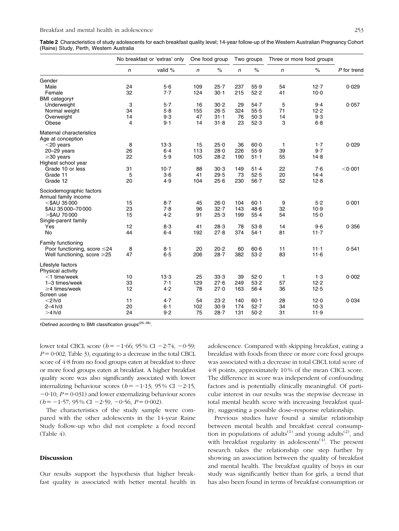|                                                  | No breakfast or 'extras' only |         | One food group |          | Two groups |          | Three or more food groups |          |             |
|--------------------------------------------------|-------------------------------|---------|----------------|----------|------------|----------|---------------------------|----------|-------------|
|                                                  | n                             | valid % | n              | $\%$     | n          | $\%$     | n                         | $\%$     | P for trend |
| Gender                                           |                               |         |                |          |            |          |                           |          |             |
| Male                                             | 24                            | 5.6     | 109            | 25.7     | 237        | 55.9     | 54                        | 12.7     | 0.029       |
| Female                                           | 32                            | 7.7     | 124            | $30 - 1$ | 215        | 52.2     | 41                        | $10 - 0$ |             |
| <b>BMI</b> categoryt                             |                               |         |                |          |            |          |                           |          |             |
| Underweight                                      | 3                             | 5.7     | 16             | 30.2     | 29         | 54.7     | 5                         | $9-4$    | 0.057       |
| Normal weight                                    | 34                            | 5.8     | 155            | 26.5     | 324        | $55-5$   | 71                        | 12.2     |             |
| Overweight                                       | 14                            | 9.3     | 47             | $31 - 1$ | 76         | 50.3     | 14                        | 9.3      |             |
| Obese                                            | $\overline{\mathbf{4}}$       | 9.1     | 14             | $31 - 8$ | 23         | 52.3     | 3                         | 6.8      |             |
| Maternal characteristics<br>Age at conception    |                               |         |                |          |            |          |                           |          |             |
| $<$ 20 years                                     | 8                             | 13.3    | 15             | 25.0     | 36         | $60 - 0$ | 1                         | 1.7      | 0.029       |
| $20 - 29$ years                                  | 26                            | $6 - 4$ | 113            | 28.0     | 226        | 55.9     | 39                        | 9.7      |             |
| $\geq$ 30 years                                  | 22                            | 5.9     | 105            | 28.2     | 190        | $51 - 1$ | 55                        | 14.8     |             |
| Highest school year                              |                               |         |                |          |            |          |                           |          |             |
| Grade 10 or less                                 | 31                            | $10-7$  | 88             | 30.3     | 149        | 51.4     | 22                        | 7.6      | < 0.001     |
| Grade 11                                         | 5                             | $3-6$   | 41             | 29.5     | 73         | 52.5     | 20                        | 14.4     |             |
| Grade 12                                         | 20                            | 4.9     | 104            | 25.6     | 230        | $56 - 7$ | 52                        | 12.8     |             |
| Sociodemographic factors<br>Annual family income |                               |         |                |          |            |          |                           |          |             |
| $<$ \$AU 35000                                   | 15                            | $8-7$   | 45             | 26.0     | 104        | $60 - 1$ | 9                         | 5.2      | 0.001       |
| \$AU 35 000-70 000                               | 23                            | 7.8     | 96             | 32.7     | 143        | 48.6     | 32                        | 10.9     |             |
| $>\mathsf{SAU}$ 70 000<br>Single-parent family   | 15                            | 4.2     | 91             | 25.3     | 199        | 55.4     | 54                        | $15 - 0$ |             |
| Yes                                              | 12                            | 8.3     | 41             | 28.3     | 78         | 53.8     | 14                        | $9-6$    | 0.356       |
| No                                               | 44                            | $6-4$   | 192            | 27.8     | 374        | 54.1     | 81                        | $11 - 7$ |             |
| Family functioning                               |                               |         |                |          |            |          |                           |          |             |
| Poor functioning, score ≤24                      | 8                             | $8-1$   | 20             | 20.2     | 60         | $60 - 6$ | 11                        | $11 - 1$ | 0.541       |
| Well functioning, score $\geq$ 25                | 47                            | 6.5     | 206            | 28.7     | 382        | 53.2     | 83                        | 11.6     |             |
| Lifestyle factors<br>Physical activity           |                               |         |                |          |            |          |                           |          |             |
| $<$ 1 time/week                                  | 10                            | 13.3    | 25             | 33.3     | 39         | 52.0     | 1                         | 1.3      | 0.002       |
| 1-3 times/week                                   | 33                            | 7.1     | 129            | 27.6     | 249        | 53.2     | 57                        | 12.2     |             |
| $\geq$ 4 times/week<br>Screen use                | 12                            | 4.2     | 78             | 27.0     | 163        | $56 - 4$ | 36                        | 12.5     |             |
| $<$ 2 h/d                                        | 11                            | 4.7     | 54             | 23.2     | 140        | $60 - 1$ | 28                        | 12.0     | 0.034       |
| $2-4h/d$                                         | 20                            | $6-1$   | 102            | 30.9     | 174        | 52.7     | 34                        | $10-3$   |             |
| >4 h/d                                           | 24                            | 9.2     | 75             | 28.7     | 131        | 50.2     | 31                        | 11.9     |             |

-Defined according to BMI classification groups(25, 26).

lower total CBCL score ( $b = -1.66$ ; 95 % CI  $-2.74$ ,  $-0.59$ ;  $P = 0.002$ ; Table 3), equating to a decrease in the total CBCL score of 4?8 from no food groups eaten at breakfast to three or more food groups eaten at breakfast. A higher breakfast quality score was also significantly associated with lower internalizing behaviour scores ( $b = -1.13$ ; 95% CI -2.15,  $-0.10$ ;  $P = 0.031$ ) and lower externalizing behaviour scores  $(b = -1.57; 95\% \text{ CI } -2.59, -0.56, P = 0.002$ .

The characteristics of the study sample were compared with the other adolescents in the 14-year Raine Study follow-up who did not complete a food record (Table 4).

## **Discussion**

Our results support the hypothesis that higher breakfast quality is associated with better mental health in adolescence. Compared with skipping breakfast, eating a breakfast with foods from three or more core food groups was associated with a decrease in total CBCL total score of 4?8 points, approximately 10 % of the mean CBCL score. The difference in score was independent of confounding factors and is potentially clinically meaningful. Of particular interest in our results was the stepwise decrease in total mental health score with increasing breakfast quality, suggesting a possible dose–response relationship.

Previous studies have found a similar relationship between mental health and breakfast cereal consumption in populations of adults<sup>(1)</sup> and young adults<sup>(2)</sup>, and with breakfast regularity in adolescents<sup> $(4)$ </sup>. The present research takes the relationship one step further by showing an association between the quality of breakfast and mental health. The breakfast quality of boys in our study was significantly better than for girls, a trend that has also been found in terms of breakfast consumption or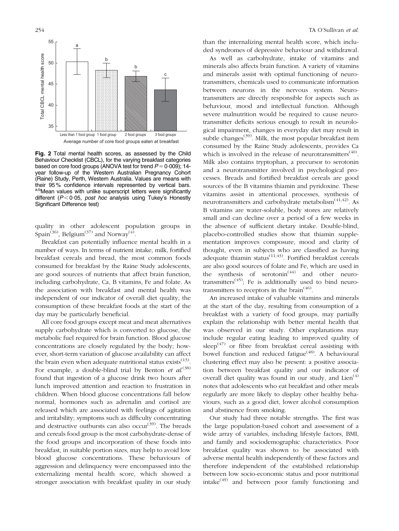

Fig. 2 Total mental health scores, as assessed by the Child Behaviour Checklist (CBCL), for the varying breakfast categories based on core food groups (ANOVA test for trend  $P = 0.009$ ); 14year follow-up of the Western Australian Pregnancy Cohort (Raine) Study, Perth, Western Australia. Values are means with their 95% confidence intervals represented by vertical bars. a,bMean values with unlike superscript letters were significantly different ( $P < 0.05$ , post hoc analysis using Tukey's Honestly Significant Difference test)

quality in other adolescent population groups in Spain<sup>(36)</sup>, Belgium<sup>(37)</sup> and Norway<sup>(4)</sup>.

Breakfast can potentially influence mental health in a number of ways. In terms of nutrient intake, milk, fortified breakfast cereals and bread, the most common foods consumed for breakfast by the Raine Study adolescents, are good sources of nutrients that affect brain function, including carbohydrate, Ca, B vitamins, Fe and folate. As the association with breakfast and mental health was independent of our indicator of overall diet quality, the consumption of these breakfast foods at the start of the day may be particularly beneficial.

All core food groups except meat and meat alternatives supply carbohydrate which is converted to glucose, the metabolic fuel required for brain function. Blood glucose concentrations are closely regulated by the body; however, short-term variation of glucose availability can affect the brain even when adequate nutritional status exists  $(13)$ . For example, a double-blind trial by Benton et  $al^{(38)}$ found that ingestion of a glucose drink two hours after lunch improved attention and reaction to frustration in children. When blood glucose concentrations fall below normal, hormones such as adrenalin and cortisol are released which are associated with feelings of agitation and irritability; symptoms such as difficulty concentrating and destructive outbursts can also occur<sup>(39)</sup>. The breads and cereals food group is the most carbohydrate-dense of the food groups and incorporation of these foods into breakfast, in suitable portion sizes, may help to avoid low blood glucose concentrations. These behaviours of aggression and delinquency were encompassed into the externalizing mental health score, which showed a stronger association with breakfast quality in our study than the internalizing mental health score, which included syndromes of depressive behaviour and withdrawal.

As well as carbohydrate, intake of vitamins and minerals also affects brain function. A variety of vitamins and minerals assist with optimal functioning of neurotransmitters, chemicals used to communicate information between neurons in the nervous system. Neurotransmitters are directly responsible for aspects such as behaviour, mood and intellectual function. Although severe malnutrition would be required to cause neurotransmitter deficits serious enough to result in neurological impairment, changes in everyday diet may result in subtle changes<sup>(39)</sup>. Milk, the most popular breakfast item consumed by the Raine Study adolescents, provides Ca which is involved in the release of neurotransmitters<sup> $(40)$ </sup>. Milk also contains tryptophan, a precursor to serotonin and a neurotransmitter involved in psychological processes. Breads and fortified breakfast cereals are good sources of the B vitamins thiamin and pyridoxine. These vitamins assist in attentional processes, synthesis of neurotransmitters and carbohydrate metabolism $(41, 42)$ . As B vitamins are water-soluble, body stores are relatively small and can decline over a period of a few weeks in the absence of sufficient dietary intake. Double-blind, placebo-controlled studies show that thiamin supplementation improves composure, mood and clarity of thought, even in subjects who are classified as having adequate thiamin status<sup>(11,43)</sup>. Fortified breakfast cereals are also good sources of folate and Fe, which are used in the synthesis of serotonin<sup> $(44)$ </sup> and other neurotransmitters<sup> $(45)$ </sup>; Fe is additionally used to bind neurotransmitters to receptors in the brain<sup> $(46)$ </sup>.

An increased intake of valuable vitamins and minerals at the start of the day, resulting from consumption of a breakfast with a variety of food groups, may partially explain the relationship with better mental health that was observed in our study. Other explanations may include regular eating leading to improved quality of sleep<sup> $(47)$ </sup> or fibre from breakfast cereal assisting with bowel function and reduced fatigue<sup>(48)</sup>. A behavioural clustering effect may also be present: a positive association between breakfast quality and our indicator of overall diet quality was found in our study, and  $Lien^{(4)}$ notes that adolescents who eat breakfast and other meals regularly are more likely to display other healthy behaviours, such as a good diet, lower alcohol consumption and abstinence from smoking.

Our study had three notable strengths. The first was the large population-based cohort and assessment of a wide array of variables, including lifestyle factors, BMI, and family and sociodemographic characteristics. Poor breakfast quality was shown to be associated with adverse mental health independently of these factors and therefore independent of the established relationship between low socio-economic status and poor nutritional intake $^{(49)}$  and between poor family functioning and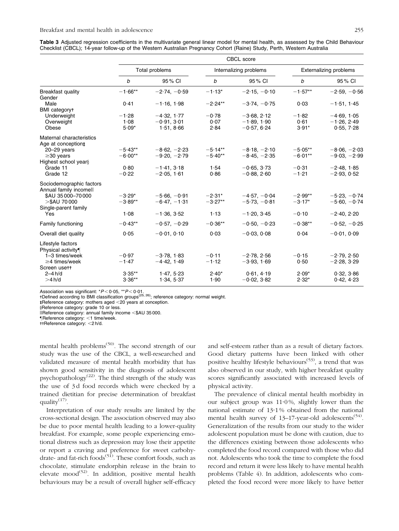| Table 3 Adjusted regression coefficients in the multivariate general linear model for mental health, as assessed by the Child Behaviour |  |
|-----------------------------------------------------------------------------------------------------------------------------------------|--|
| Checklist (CBCL); 14-year follow-up of the Western Australian Pregnancy Cohort (Raine) Study, Perth, Western Australia                  |  |

|                                                    | CBCL score     |                |           |                        |                               |                |  |
|----------------------------------------------------|----------------|----------------|-----------|------------------------|-------------------------------|----------------|--|
|                                                    | Total problems |                |           | Internalizing problems | <b>Externalizing problems</b> |                |  |
|                                                    | b              | 95% CI         | b         | 95% CI                 | b                             | 95% CI         |  |
| <b>Breakfast quality</b><br>Gender                 | $-1.66**$      | $-2.74, -0.59$ | $-1.13*$  | $-2.15, -0.10$         | $-1.57**$                     | $-2.59, -0.56$ |  |
| Male<br><b>BMI</b> category+                       | 0.41           | $-1.16, 1.98$  | $-2.24**$ | $-3.74, -0.75$         | 0.03                          | $-1.51, 1.45$  |  |
| Underweight                                        | $-1.28$        | $-4.32, 1.77$  | $-0.78$   | $-3.68, 2.12$          | $-1.82$                       | $-4.69, 1.05$  |  |
| Overweight                                         | 1.08           | $-0.91, 3.01$  | 0.07      | $-1.89, 1.90$          | 0.61                          | $-1.26, 2.49$  |  |
| Obese                                              | $5.09*$        | 1.51, 8.66     | 2.84      | $-0.57, 6.24$          | $3.91*$                       | 0.55, 7.28     |  |
| Maternal characteristics<br>Age at conception‡     |                |                |           |                        |                               |                |  |
| $20 - 29$ years                                    | $-5.43**$      | $-8.62, -2.23$ | $-5.14**$ | $-8.18, -2.10$         | $-5.05**$                     | $-8.06, -2.03$ |  |
| $\geq$ 30 years                                    | $-6.00**$      | $-9.20, -2.79$ | $-5.40**$ | $-8.45, -2.35$         | $-6.01**$                     | $-9.03, -2.99$ |  |
| Highest school year§                               |                |                |           |                        |                               |                |  |
| Grade 11                                           | 0.80           | $-1.41, 3.18$  | 1.54      | $-0.65, 3.73$          | $-0.31$                       | $-2.48, 1.85$  |  |
| Grade 12                                           | $-0.22$        | $-2.05, 1.61$  | 0.86      | $-0.88, 2.60$          | $-1.21$                       | $-2.93, 0.52$  |  |
| Sociodemographic factors<br>Annual family incomell |                |                |           |                        |                               |                |  |
| \$AU 35 000-70 000                                 | $-3.29*$       | $-5.66, -0.91$ | $-2.31*$  | $-4.57, -0.04$         | $-2.99**$                     | $-5.23, -0.74$ |  |
| $>\$AU$ 70 000                                     | $-3.89**$      | $-6.47, -1.31$ | $-3.27**$ | $-5.73, -0.81$         | $-3.17*$                      | $-5.60, -0.74$ |  |
| Single-parent family<br>Yes                        | 1.08           | $-1.36, 3.52$  | 1.13      | $-1.20, 3.45$          | $-0.10$                       | $-2.40, 2.20$  |  |
| Family functioning                                 | $-0.43**$      | $-0.57, -0.29$ | $-0.36**$ | $-0.50, -0.23$         | $-0.38**$                     | $-0.52, -0.25$ |  |
| Overall diet quality                               | 0.05           | $-0.01, 0.10$  | 0.03      | $-0.03, 0.08$          | 0.04                          | $-0.01, 0.09$  |  |
| Lifestyle factors<br>Physical activity             |                |                |           |                        |                               |                |  |
| 1-3 times/week                                     | $-0.97$        | $-3.78, 1.83$  | $-0.11$   | $-2.78, 2.56$          | $-0.15$                       | $-2.79, 2.50$  |  |
| $\geq$ 4 times/week<br>Screen usett                | $-1.47$        | $-4.42, 1.49$  | $-1.12$   | $-3.93, 1.69$          | 0.50                          | $-2.28, 3.29$  |  |
| $2-4 h/d$                                          | $3.35**$       | 1.47, 5.23     | $2.40*$   | 0.61, 4.19             | $2.09*$                       | 0.32, 3.86     |  |
| >4 h/d                                             | $3.36**$       | 1.34, 5.37     | 1.90      | $-0.02, 3.82$          | $2.32*$                       | 0.42, 4.23     |  |
|                                                    |                |                |           |                        |                               |                |  |

Association was significant: \*P< 0·05, \*\*P< 0·01.<br>†Defined according to BMI classification groups<sup>(25, 26)</sup>; reference category: normal weight.

- - Reference category: mothers aged ,20 years at conception.

§Reference category: grade 10 or less.

llReference category: annual family income <\$AU 35 000.

Reference category: <1 time/week.

 $t$ +Reference category: <2 h/d.

mental health problems<sup> $(50)$ </sup>. The second strength of our study was the use of the CBCL, a well-researched and validated measure of mental health morbidity that has shown good sensitivity in the diagnosis of adolescent psychopathology<sup> $(22)$ </sup>. The third strength of the study was the use of 3 d food records which were checked by a trained dietitian for precise determination of breakfast quality $^{(17)}$ .

Interpretation of our study results are limited by the cross-sectional design. The association observed may also be due to poor mental health leading to a lower-quality breakfast. For example, some people experiencing emotional distress such as depression may lose their appetite or report a craving and preference for sweet carbohydrate- and fat-rich foods<sup>(51)</sup>. These comfort foods, such as chocolate, stimulate endorphin release in the brain to elevate mood<sup> $(52)$ </sup>. In addition, positive mental health behaviours may be a result of overall higher self-efficacy and self-esteem rather than as a result of dietary factors. Good dietary patterns have been linked with other positive healthy lifestyle behaviours<sup>(53)</sup>, a trend that was also observed in our study, with higher breakfast quality scores significantly associated with increased levels of physical activity.

The prevalence of clinical mental health morbidity in our subject group was  $11.0\%$ , slightly lower than the national estimate of 13.1% obtained from the national mental health survey of  $13-17$ -year-old adolescents<sup>(54)</sup>. Generalization of the results from our study to the wider adolescent population must be done with caution, due to the differences existing between those adolescents who completed the food record compared with those who did not. Adolescents who took the time to complete the food record and return it were less likely to have mental health problems (Table 4). In addition, adolescents who completed the food record were more likely to have better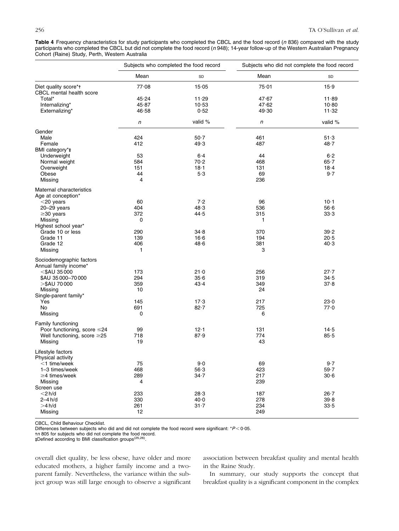Table 4 Frequency characteristics for study participants who completed the CBCL and the food record (n 836) compared with the study participants who completed the CBCL but did not complete the food record (n 948); 14-year follow-up of the Western Australian Pregnancy Cohort (Raine) Study, Perth, Western Australia

|                                                   | Subjects who completed the food record |          | Subjects who did not complete the food record |          |  |  |
|---------------------------------------------------|----------------------------------------|----------|-----------------------------------------------|----------|--|--|
|                                                   | Mean                                   | SD       | Mean                                          | SD       |  |  |
| Diet quality score*t<br>CBCL mental health score  | 77.08                                  | 15.05    | 75.01                                         | 15.9     |  |  |
| Total*                                            | 45.24                                  | 11.29    | 47.67                                         | 11.89    |  |  |
| Internalizing*                                    | 45.87                                  | 10.53    | 47.62                                         | 10.80    |  |  |
| Externalizing*                                    | 46∙58                                  | 0.52     | 49.30                                         | 11.32    |  |  |
|                                                   | n                                      | valid %  | n                                             | valid %  |  |  |
| Gender                                            |                                        |          |                                               |          |  |  |
| Male                                              | 424                                    | $50-7$   | 461                                           | 51.3     |  |  |
| Female                                            | 412                                    | 49.3     | 487                                           | 48.7     |  |  |
| BMI category*#                                    |                                        |          |                                               |          |  |  |
| Underweight                                       | 53                                     | $6-4$    | 44                                            | $6-2$    |  |  |
| Normal weight                                     | 584                                    | 70.2     | 468                                           | 65.7     |  |  |
| Overweight                                        | 151                                    | $18 - 1$ | 131                                           | $18 - 4$ |  |  |
| Obese                                             | 44                                     | $5·3$    | 69                                            | $9-7$    |  |  |
| Missing                                           | 4                                      |          | 236                                           |          |  |  |
| Maternal characteristics<br>Age at conception*    |                                        |          |                                               |          |  |  |
| $<$ 20 years                                      | 60                                     | 7.2      | 96                                            | $10 - 1$ |  |  |
|                                                   | 404                                    |          |                                               |          |  |  |
| 20-29 years                                       |                                        | 48.3     | 536                                           | 56·6     |  |  |
| $\geq$ 30 years                                   | 372                                    | 44.5     | 315                                           | 33.3     |  |  |
| Missing                                           | 0                                      |          | 1                                             |          |  |  |
| Highest school year*                              |                                        |          |                                               |          |  |  |
| Grade 10 or less                                  | 290                                    | 34.8     | 370                                           | 39.2     |  |  |
| Grade 11                                          | 139                                    | $16 - 6$ | 194                                           | $20 - 5$ |  |  |
| Grade 12                                          | 406                                    | 48.6     | 381                                           | 40.3     |  |  |
| Missing                                           | 1                                      |          | 3                                             |          |  |  |
| Sociodemographic factors<br>Annual family income* |                                        |          |                                               |          |  |  |
| $<$ \$AU 35000                                    | 173                                    | $21 - 0$ | 256                                           | $27 - 7$ |  |  |
|                                                   |                                        |          |                                               |          |  |  |
| \$AU 35000-70000                                  | 294                                    | 35.6     | 319                                           | 34.5     |  |  |
| >\$AU 70 000                                      | 359                                    | 43.4     | 349                                           | 37.8     |  |  |
| Missing                                           | 10                                     |          | 24                                            |          |  |  |
| Single-parent family*                             |                                        |          |                                               |          |  |  |
| Yes                                               | 145                                    | 17.3     | 217                                           | 23.0     |  |  |
| No                                                | 691                                    | $82 - 7$ | 725                                           | 77.0     |  |  |
| Missing                                           | 0                                      |          | 6                                             |          |  |  |
| Family functioning                                |                                        |          |                                               |          |  |  |
| Poor functioning, score ≤24                       | 99                                     | 12.1     | 131                                           | $14-5$   |  |  |
| Well functioning, score $\geq$ 25                 | 718                                    | 87.9     | 774                                           | $85 - 5$ |  |  |
| Missing                                           | 19                                     |          | 43                                            |          |  |  |
| Lifestyle factors                                 |                                        |          |                                               |          |  |  |
| Physical activity                                 |                                        |          |                                               |          |  |  |
| $<$ 1 time/week                                   | 75                                     | $9.0$    | 69                                            | $9-7$    |  |  |
| 1-3 times/week                                    | 468                                    | $56-3$   | 423                                           | 59.7     |  |  |
| $\geq$ 4 times/week                               | 289                                    | $34 - 7$ | 217                                           | 30.6     |  |  |
| Missing                                           | 4                                      |          | 239                                           |          |  |  |
| Screen use                                        |                                        |          |                                               |          |  |  |
| $<$ 2 $h/d$                                       | 233                                    | 28.3     | 187                                           | $26 - 7$ |  |  |
| $2-4h/d$                                          | 330                                    | 40.0     | 278                                           | 39.8     |  |  |
|                                                   |                                        |          |                                               |          |  |  |
| >4 h/d                                            | 261                                    | $31 - 7$ | 234                                           | 33.5     |  |  |
| Missing                                           | 12                                     |          | 249                                           |          |  |  |

CBCL, Child Behaviour Checklist.

Differences between subjects who did and did not complete the food record were significant:  $*P < 0.05$ .

t*n* 805 for subjects who did not complete the food record.<br>‡Defined according to BMI classification groups<sup>(25,26)</sup>.

overall diet quality, be less obese, have older and more educated mothers, a higher family income and a twoparent family. Nevertheless, the variance within the subject group was still large enough to observe a significant association between breakfast quality and mental health in the Raine Study.

In summary, our study supports the concept that breakfast quality is a significant component in the complex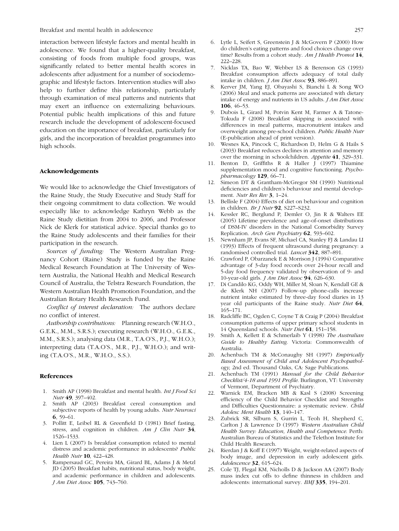Breakfast and mental health in adolescence 257

interaction between lifestyle factors and mental health in adolescence. We found that a higher-quality breakfast, consisting of foods from multiple food groups, was significantly related to better mental health scores in adolescents after adjustment for a number of sociodemographic and lifestyle factors. Intervention studies will also help to further define this relationship, particularly through examination of meal patterns and nutrients that may exert an influence on externalizing behaviours. Potential public health implications of this and future research include the development of adolescent-focused education on the importance of breakfast, particularly for girls, and the incorporation of breakfast programmes into high schools.

#### Acknowledgements

We would like to acknowledge the Chief Investigators of the Raine Study, the Study Executive and Study Staff for their ongoing commitment to data collection. We would especially like to acknowledge Kathryn Webb as the Raine Study dietitian from 2004 to 2006, and Professor Nick de Klerk for statistical advice. Special thanks go to the Raine Study adolescents and their families for their participation in the research.

Sources of funding: The Western Australian Pregnancy Cohort (Raine) Study is funded by the Raine Medical Research Foundation at The University of Western Australia, the National Health and Medical Research Council of Australia, the Telstra Research Foundation, the Western Australian Health Promotion Foundation, and the Australian Rotary Health Research Fund.

Conflict of interest declaration: The authors declare no conflict of interest.

Authorship contributions: Planning research (W.H.O., G.E.K., M.M., S.R.S.); executing research (W.H.O., G.E.K., M.M., S.R.S.); analysing data (M.R., T.A.O'S., P.J., W.H.O.); interpreting data (T.A.O'S., M.R., P.J., W.H.O.); and writing (T.A.O'S., M.R., W.H.O., S.S.).

#### References

- 1. Smith AP (1998) Breakfast and mental health. Int J Food Sci Nutr 49, 397–402.
- 2. Smith AP (2003) Breakfast cereal consumption and subjective reports of health by young adults. Nutr Neurosci 6, 59–61.
- 3. Pollitt E, Leibel RL & Greenfield D (1981) Brief fasting, stress, and cognition in children. Am J Clin Nutr 34, 1526–1533.
- 4. Lien L (2007) Is breakfast consumption related to mental distress and academic performance in adolescents? Public Health Nutr 10, 422-428.
- 5. Rampersaud GC, Pereira MA, Girard BL, Adams J & Metzl JD (2005) Breakfast habits, nutritional status, body weight, and academic performance in children and adolescents. J Am Diet Assoc 105, 743–760.
- 6. Lytle L, Seifert S, Greenstein J & McGovern P (2000) How do children's eating patterns and food choices change over time? Results from a cohort study. Am J Health Promot 14, 222–228.
- 7. Nicklas TA, Bao W, Webber LS & Berenson GS (1993) Breakfast consumption affects adequacy of total daily intake in children. J Am Diet Assoc 93, 886–891.
- 8. Kerver JM, Yang EJ, Obayashi S, Bianchi L & Song WO (2006) Meal and snack patterns are associated with dietary intake of energy and nutrients in US adults. J Am Diet Assoc 106, 46–53.
- 9. Dubois L, Girard M, Potvin Kent M, Farmer A & Tatone-Tokuda F (2008) Breakfast skipping is associated with differences in meal patterns, macronutrient intakes and overweight among pre-school children. Public Health Nutr (E-publication ahead of print version).
- 10. Wesnes KA, Pincock C, Richardson D, Helm G & Hails S (2003) Breakfast reduces declines in attention and memory over the morning in schoolchildren. Appetite 41, 329–331.
- 11. Benton D, Griffiths R & Haller J (1997) Thiamine supplementation mood and cognitive functioning. Psychopharmacology 129, 66-71.
- Simeon DT & Grantham-McGregor SM (1990) Nutritional deficiencies and children's behaviour and mental development. Nutr Res Rev 3, 1-24.
- 13. Bellisle F (2004) Effects of diet on behaviour and cognition in children. Br J Nutr 92, S227–S232.
- 14. Kessler RC, Berglund P, Demler O, Jin R & Walters EE (2005) Lifetime prevalence and age-of-onset distributions of DSM-IV disorders in the National Comorbidity Survey Replication. Arch Gen Psychiatry 62, 593-602.
- 15. Newnham JP, Evans SF, Michael CA, Stanley FJ & Landau LI (1993) Effects of frequent ultrasound during pregnancy: a randomised controlled trial. Lancet 342, 887–891.
- 16. Crawford P, Obarzanek E & Morrison J (1994) Comparative advantage of 3-day food records over 24-hour recall and 5-day food frequency validated by observation of 9- and 10-year-old girls. J Am Diet Assoc 94, 626–630.
- 17. Di Candilo KG, Oddy WH, Miller M, Sloan N, Kendall GE & de Klerk NH (2007) Follow-up phone-calls increase nutrient intake estimated by three-day food diaries in 13 year old participants of the Raine study. Nutr Diet 64, 165–171.
- 18. Radcliffe BC, Ogden C, Coyne T & Craig P (2004) Breakfast consumption patterns of upper primary school students in 14 Queensland schools. Nutr Diet 61, 151–158.
- 19. Smith A, Kellett E & Schmerlaib Y (1998) The Australian Guide to Healthy Eating. Victoria: Commonwealth of Australia.
- 20. Achenbach TM & McConaughy SH (1997) Empirically Based Assessment of Child and Adolescent Psychopathology, 2nd ed. Thousand Oaks, CA: Sage Publications.
- 21. Achenbach TM (1991) Manual for the Child Behavior Checklist/4-18 and 1991 Profile. Burlington, VT: University of Vermont, Department of Psychiatry.
- 22. Warnick EM, Bracken MB & Kasl S (2008) Screening efficiency of the Child Behavior Checklist and Strengths and Difficulties Questionnaire: a systematic review. Child Adolesc Ment Health 13, 140-147.
- 23. Zubrick SR, Silburn S, Gurrin L, Teoh H, Shepherd C, Carlton J & Lawrence D (1997) Western Australian Child Health Survey: Education, Health and Competence. Perth: Australian Bureau of Statistics and the Telethon Institute for Child Health Research.
- 24. Rierdan J & Koff E (1997) Weight, weight-related aspects of body image, and depression in early adolescent girls. Adolescence 32, 615–624.
- 25. Cole TJ, Flegal KM, Nicholls D & Jackson AA (2007) Body mass index cut offs to define thinness in children and adolescents: international survey. BMJ 335, 194–201.